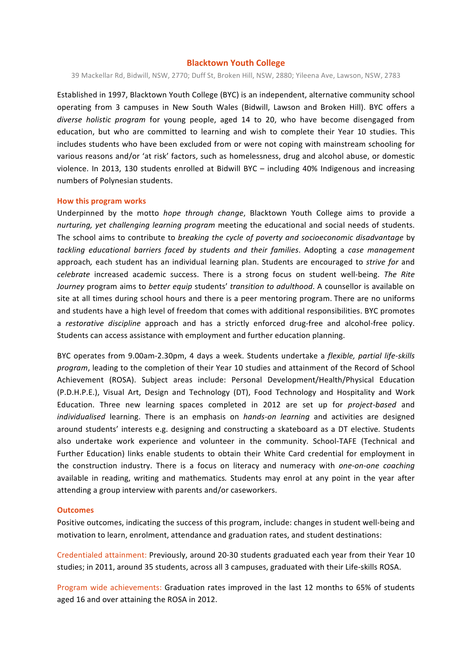### **Blacktown Youth College**

39 Mackellar Rd, Bidwill, NSW, 2770; Duff St, Broken Hill, NSW, 2880; Yileena Ave, Lawson, NSW, 2783

Established in 1997, Blacktown Youth College (BYC) is an independent, alternative community school operating from 3 campuses in New South Wales (Bidwill, Lawson and Broken Hill). BYC offers a *diverse holistic program* for young people, aged 14 to 20, who have become disengaged from education, but who are committed to learning and wish to complete their Year 10 studies. This includes students who have been excluded from or were not coping with mainstream schooling for various reasons and/or 'at risk' factors, such as homelessness, drug and alcohol abuse, or domestic violence. In 2013, 130 students enrolled at Bidwill BYC – including 40% Indigenous and increasing numbers of Polynesian students.

#### **How this program works**

Underpinned by the motto *hope through change*, Blacktown Youth College aims to provide a *nurturing, yet challenging learning program* meeting the educational and social needs of students. The school aims to contribute to *breaking the cycle of poverty and socioeconomic disadvantage* by tackling educational barriers faced by students and their families. Adopting a case management approach, each student has an individual learning plan. Students are encouraged to *strive for* and *celebrate* increased academic success. There is a strong focus on student well-being. The Rite *Journey* program aims to *better equip* students' *transition to adulthood*. A counsellor is available on site at all times during school hours and there is a peer mentoring program. There are no uniforms and students have a high level of freedom that comes with additional responsibilities. BYC promotes a *restorative discipline* approach and has a strictly enforced drug-free and alcohol-free policy. Students can access assistance with employment and further education planning.

BYC operates from 9.00am-2.30pm, 4 days a week. Students undertake a *flexible, partial life-skills* program, leading to the completion of their Year 10 studies and attainment of the Record of School Achievement (ROSA). Subject areas include: Personal Development/Health/Physical Education (P.D.H.P.E.), Visual Art, Design and Technology (DT), Food Technology and Hospitality and Work Education. Three new learning spaces completed in 2012 are set up for *project-based* and *individualised* learning. There is an emphasis on *hands-on learning* and activities are designed around students' interests e.g. designing and constructing a skateboard as a DT elective. Students also undertake work experience and volunteer in the community. School-TAFE (Technical and Further Education) links enable students to obtain their White Card credential for employment in the construction industry. There is a focus on literacy and numeracy with *one-on-one coaching* available in reading, writing and mathematics. Students may enrol at any point in the year after attending a group interview with parents and/or caseworkers.

#### **Outcomes**

Positive outcomes, indicating the success of this program, include: changes in student well-being and motivation to learn, enrolment, attendance and graduation rates, and student destinations:

Credentialed attainment: Previously, around 20-30 students graduated each year from their Year 10 studies; in 2011, around 35 students, across all 3 campuses, graduated with their Life-skills ROSA.

Program wide achievements: Graduation rates improved in the last 12 months to 65% of students aged 16 and over attaining the ROSA in 2012.